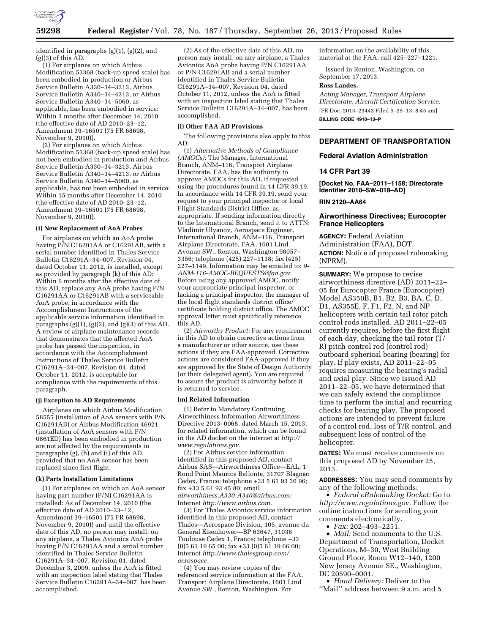

identified in paragraphs (g)(1), (g)(2), and  $(g)(3)$  of this  $AD$ .

(1) For airplanes on which Airbus Modification 53368 (back-up speed scale) has been embodied in production or Airbus Service Bulletin A330–34–3213, Airbus Service Bulletin A340–34–4213, or Airbus Service Bulletin A340–34–5060, as applicable, has been embodied in service: Within 3 months after December 14, 2010 (the effective date of AD 2010–23–12, Amendment 39–16501 (75 FR 68698, November 9, 2010)).

(2) For airplanes on which Airbus Modification 53368 (back-up speed scale) has not been embodied in production and Airbus Service Bulletin A330–34–3213, Airbus Service Bulletin A340–34–4213, or Airbus Service Bulletin A340–34–5060, as applicable, has not been embodied in service: Within 15 months after December 14, 2010 (the effective date of AD 2010–23–12, Amendment 39–16501 (75 FR 68698, November 9, 2010)).

#### **(i) New Replacement of AoA Probes**

For airplanes on which an AoA probe having P/N C16291AA or C16291AB, with a serial number identified in Thales Service Bulletin C16291A–34–007, Revision 04, dated October 11, 2012, is installed, except as provided by paragraph (k) of this AD: Within 6 months after the effective date of this AD, replace any AoA probe having P/N C16291AA or C16291AB with a serviceable AoA probe, in accordance with the Accomplishment Instructions of the applicable service information identified in paragraphs  $(g)(1)$ ,  $(g)(2)$ , and  $(g)(3)$  of this AD. A review of airplane maintenance records that demonstrates that the affected AoA probe has passed the inspection, in accordance with the Accomplishment Instructions of Thales Service Bulletin C16291A–34–007, Revision 04, dated October 11, 2012, is acceptable for compliance with the requirements of this paragraph.

#### **(j) Exception to AD Requirements**

Airplanes on which Airbus Modification 58555 (installation of AoA sensors with P/N C16291AB) or Airbus Modification 46921 (installation of AoA sensors with P/N 0861ED) has been embodied in production are not affected by the requirements in paragraphs (g), (h) and (i) of this AD, provided that no AoA sensor has been replaced since first flight.

#### **(k) Parts Installation Limitations**

(1) For airplanes on which an AoA sensor having part number (P/N) C16291AA is installed: As of December 14, 2010 (the effective date of AD 2010–23–12, Amendment 39–16501 (75 FR 68698, November 9, 2010)) and until the effective date of this AD, no person may install, on any airplane, a Thales Avionics AoA probe having P/N C16291AA and a serial number identified in Thales Service Bulletin C16291A–34–007, Revision 01, dated December 3, 2009, unless the AoA is fitted with an inspection label stating that Thales Service Bulletin C16291A–34–007, has been accomplished.

(2) As of the effective date of this AD, no person may install, on any airplane, a Thales Avionics AoA probe having P/N C16291AA or P/N C16291AB and a serial number identified in Thales Service Bulletin C16291A–34–007, Revision 04, dated October 11, 2012, unless the AoA is fitted with an inspection label stating that Thales Service Bulletin C16291A–34–007, has been accomplished.

#### **(l) Other FAA AD Provisions**

The following provisions also apply to this AD:

(1) *Alternative Methods of Compliance (AMOCs):* The Manager, International Branch, ANM–116, Transport Airplane Directorate, FAA, has the authority to approve AMOCs for this AD, if requested using the procedures found in 14 CFR 39.19. In accordance with 14 CFR 39.19, send your request to your principal inspector or local Flight Standards District Office, as appropriate. If sending information directly to the International Branch, send it to ATTN: Vladimir Ulyanov, Aerospace Engineer, International Branch, ANM–116, Transport Airplane Directorate, FAA, 1601 Lind Avenue SW., Renton, Washington 98057– 3356; telephone (425) 227–1138; fax (425) 227–1149. Information may be emailed to: *[9-](mailto:9-ANM-116-AMOC-REQUESTS@faa.gov) [ANM-116-AMOC-REQUESTS@faa.gov.](mailto:9-ANM-116-AMOC-REQUESTS@faa.gov)*  Before using any approved AMOC, notify your appropriate principal inspector, or lacking a principal inspector, the manager of the local flight standards district office/ certificate holding district office. The AMOC approval letter must specifically reference this AD.

(2) *Airworthy Product:* For any requirement in this AD to obtain corrective actions from a manufacturer or other source, use these actions if they are FAA-approved. Corrective actions are considered FAA-approved if they are approved by the State of Design Authority (or their delegated agent). You are required to assure the product is airworthy before it is returned to service.

## **(m) Related Information**

(1) Refer to Mandatory Continuing Airworthiness Information Airworthiness Directive 2013–0068, dated March 15, 2013, for related information, which can be found in the AD docket on the internet at *[http://](http://www.regulations.gov) [www.regulations.gov.](http://www.regulations.gov)* 

(2) For Airbus service information identified in this proposed AD, contact Airbus SAS—Airworthiness Office—EAL, 1 Rond Point Maurice Bellonte, 31707 Blagnac Cedex, France; telephone +33 5 61 93 36 96; fax +33 5 61 93 45 80; email *[airworthiness.A330-A340@airbus.com;](mailto:airworthiness.A330-A340@airbus.com)*  Internet *[http://www.airbus.com.](http://www.airbus.com)* 

(3) For Thales Avionics service information identified in this proposed AD, contact Thales—Aerospace Division, 105, avenue du General Eisenhower—BP 63647, 31036 Toulouse Cedex 1, France; telephone +33  $(0)561196500;$  fax +33 $(0)561196600;$ Internet *[http://www.thalesgroup.com/](http://www.thalesgroup.com/aerospace) [aerospace.](http://www.thalesgroup.com/aerospace)* 

(4) You may review copies of the referenced service information at the FAA, Transport Airplane Directorate, 1601 Lind Avenue SW., Renton, Washington. For

information on the availability of this material at the FAA, call 425–227–1221.

Issued in Renton, Washington, on September 17, 2013.

#### **Ross Landes,**

*Acting Manager, Transport Airplane Directorate, Aircraft Certification Service.*  [FR Doc. 2013–23443 Filed 9–25–13; 8:45 am] **BILLING CODE 4910–13–P** 

## **DEPARTMENT OF TRANSPORTATION**

#### **Federal Aviation Administration**

## **14 CFR Part 39**

**[Docket No. FAA–2011–1158; Directorate Identifier 2010–SW–018–AD]** 

## **RIN 2120–AA64**

## **Airworthiness Directives; Eurocopter France Helicopters**

**AGENCY:** Federal Aviation Administration (FAA), DOT. **ACTION:** Notice of proposed rulemaking (NPRM).

**SUMMARY:** We propose to revise airworthiness directive (AD) 2011–22– 05 for Eurocopter France (Eurocopter) Model AS350B, B1, B2, B3, BA, C, D, D1, AS355E, F, F1, F2, N, and NP helicopters with certain tail rotor pitch control rods installed. AD 2011–22–05 currently requires, before the first flight of each day, checking the tail rotor  $(T)$ R) pitch control rod (control rod) outboard spherical bearing (bearing) for play. If play exists, AD 2011–22–05 requires measuring the bearing's radial and axial play. Since we issued AD 2011–22–05, we have determined that we can safely extend the compliance time to perform the initial and recurring checks for bearing play. The proposed actions are intended to prevent failure of a control rod, loss of T/R control, and subsequent loss of control of the helicopter.

**DATES:** We must receive comments on this proposed AD by November 25, 2013.

**ADDRESSES:** You may send comments by any of the following methods:

• *Federal eRulemaking Docket:* Go to *[http://www.regulations.gov.](http://www.regulations.gov)* Follow the online instructions for sending your comments electronically.

• *Fax:* 202–493–2251.

• *Mail:* Send comments to the U.S. Department of Transportation, Docket Operations, M–30, West Building Ground Floor, Room W12–140, 1200 New Jersey Avenue SE., Washington, DC 20590–0001.

• *Hand Delivery:* Deliver to the ''Mail'' address between 9 a.m. and 5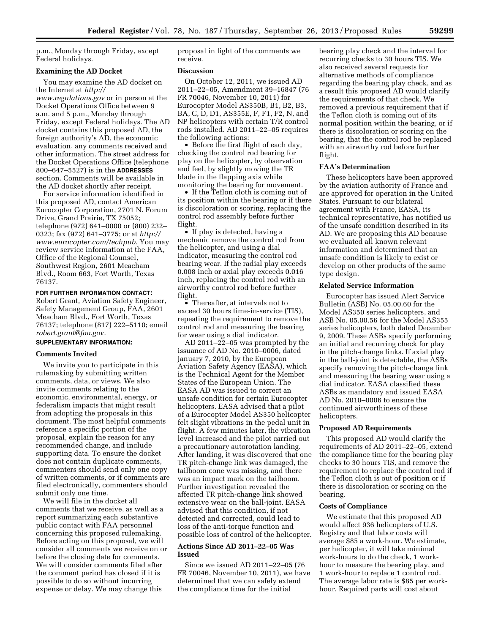p.m., Monday through Friday, except Federal holidays.

## **Examining the AD Docket**

You may examine the AD docket on the Internet at *[http://](http://www.regulations.gov) [www.regulations.gov](http://www.regulations.gov)* or in person at the Docket Operations Office between 9 a.m. and 5 p.m., Monday through Friday, except Federal holidays. The AD docket contains this proposed AD, the foreign authority's AD, the economic evaluation, any comments received and other information. The street address for the Docket Operations Office (telephone 800–647–5527) is in the **ADDRESSES** section. Comments will be available in the AD docket shortly after receipt.

For service information identified in this proposed AD, contact American Eurocopter Corporation, 2701 N. Forum Drive, Grand Prairie, TX 75052; telephone (972) 641–0000 or (800) 232– 0323; fax (972) 641–3775; or at *[http://](http://www.eurocopter.com/techpub) [www.eurocopter.com/techpub.](http://www.eurocopter.com/techpub)* You may review service information at the FAA, Office of the Regional Counsel, Southwest Region, 2601 Meacham Blvd., Room 663, Fort Worth, Texas 76137.

## **FOR FURTHER INFORMATION CONTACT:**

Robert Grant, Aviation Safety Engineer, Safety Management Group, FAA, 2601 Meacham Blvd., Fort Worth, Texas 76137; telephone (817) 222–5110; email *[robert.grant@faa.gov.](mailto:robert.grant@faa.gov)* 

## **SUPPLEMENTARY INFORMATION:**

#### **Comments Invited**

We invite you to participate in this rulemaking by submitting written comments, data, or views. We also invite comments relating to the economic, environmental, energy, or federalism impacts that might result from adopting the proposals in this document. The most helpful comments reference a specific portion of the proposal, explain the reason for any recommended change, and include supporting data. To ensure the docket does not contain duplicate comments, commenters should send only one copy of written comments, or if comments are filed electronically, commenters should submit only one time.

We will file in the docket all comments that we receive, as well as a report summarizing each substantive public contact with FAA personnel concerning this proposed rulemaking. Before acting on this proposal, we will consider all comments we receive on or before the closing date for comments. We will consider comments filed after the comment period has closed if it is possible to do so without incurring expense or delay. We may change this

proposal in light of the comments we receive.

## **Discussion**

On October 12, 2011, we issued AD 2011–22–05, Amendment 39–16847 (76 FR 70046, November 10, 2011) for Eurocopter Model AS350B, B1, B2, B3, BA, C, D, D1, AS355E, F, F1, F2, N, and NP helicopters with certain T/R control rods installed. AD 2011–22–05 requires the following actions:

• Before the first flight of each day, checking the control rod bearing for play on the helicopter, by observation and feel, by slightly moving the TR blade in the flapping axis while monitoring the bearing for movement.

• If the Teflon cloth is coming out of its position within the bearing or if there is discoloration or scoring, replacing the control rod assembly before further flight.

• If play is detected, having a mechanic remove the control rod from the helicopter, and using a dial indicator, measuring the control rod bearing wear. If the radial play exceeds 0.008 inch or axial play exceeds 0.016 inch, replacing the control rod with an airworthy control rod before further flight.

• Thereafter, at intervals not to exceed 30 hours time-in-service (TIS), repeating the requirement to remove the control rod and measuring the bearing for wear using a dial indicator.

AD 2011–22–05 was prompted by the issuance of AD No. 2010–0006, dated January 7, 2010, by the European Aviation Safety Agency (EASA), which is the Technical Agent for the Member States of the European Union. The EASA AD was issued to correct an unsafe condition for certain Eurocopter helicopters. EASA advised that a pilot of a Eurocopter Model AS350 helicopter felt slight vibrations in the pedal unit in flight. A few minutes later, the vibration level increased and the pilot carried out a precautionary autorotation landing. After landing, it was discovered that one TR pitch-change link was damaged, the tailboom cone was missing, and there was an impact mark on the tailboom. Further investigation revealed the affected TR pitch-change link showed extensive wear on the ball-joint. EASA advised that this condition, if not detected and corrected, could lead to loss of the anti-torque function and possible loss of control of the helicopter.

## **Actions Since AD 2011–22–05 Was Issued**

Since we issued AD 2011–22–05 (76 FR 70046, November 10, 2011), we have determined that we can safely extend the compliance time for the initial

bearing play check and the interval for recurring checks to 30 hours TIS. We also received several requests for alternative methods of compliance regarding the bearing play check, and as a result this proposed AD would clarify the requirements of that check. We removed a previous requirement that if the Teflon cloth is coming out of its normal position within the bearing, or if there is discoloration or scoring on the bearing, that the control rod be replaced with an airworthy rod before further flight.

## **FAA's Determination**

These helicopters have been approved by the aviation authority of France and are approved for operation in the United States. Pursuant to our bilateral agreement with France, EASA, its technical representative, has notified us of the unsafe condition described in its AD. We are proposing this AD because we evaluated all known relevant information and determined that an unsafe condition is likely to exist or develop on other products of the same type design.

## **Related Service Information**

Eurocopter has issued Alert Service Bulletin (ASB) No. 05.00.60 for the Model AS350 series helicopters, and ASB No. 05.00.56 for the Model AS355 series helicopters, both dated December 9, 2009. These ASBs specify performing an initial and recurring check for play in the pitch-change links. If axial play in the ball-joint is detectable, the ASBs specify removing the pitch-change link and measuring the bearing wear using a dial indicator. EASA classified these ASBs as mandatory and issued EASA AD No. 2010–0006 to ensure the continued airworthiness of these helicopters.

#### **Proposed AD Requirements**

This proposed AD would clarify the requirements of AD 2011–22–05, extend the compliance time for the bearing play checks to 30 hours TIS, and remove the requirement to replace the control rod if the Teflon cloth is out of position or if there is discoloration or scoring on the bearing.

#### **Costs of Compliance**

We estimate that this proposed AD would affect 936 helicopters of U.S. Registry and that labor costs will average \$85 a work-hour. We estimate, per helicopter, it will take minimal work-hours to do the check, 1 workhour to measure the bearing play, and 1 work-hour to replace 1 control rod. The average labor rate is \$85 per workhour. Required parts will cost about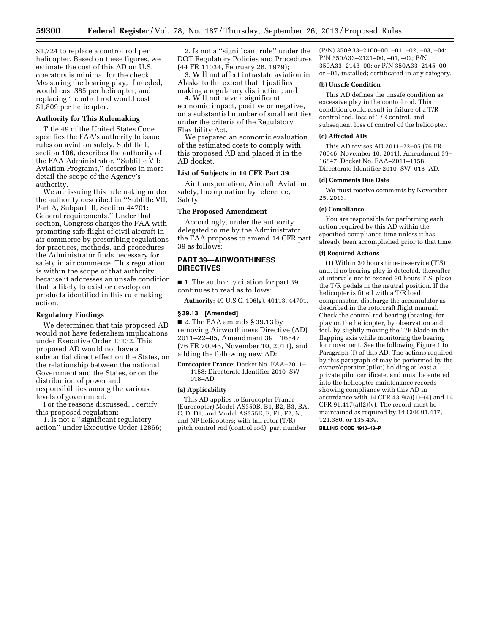\$1,724 to replace a control rod per helicopter. Based on these figures, we estimate the cost of this AD on U.S. operators is minimal for the check. Measuring the bearing play, if needed, would cost \$85 per helicopter, and replacing 1 control rod would cost \$1,809 per helicopter.

## **Authority for This Rulemaking**

Title 49 of the United States Code specifies the FAA's authority to issue rules on aviation safety. Subtitle I, section 106, describes the authority of the FAA Administrator. ''Subtitle VII: Aviation Programs,'' describes in more detail the scope of the Agency's authority.

We are issuing this rulemaking under the authority described in ''Subtitle VII, Part A, Subpart III, Section 44701: General requirements.'' Under that section, Congress charges the FAA with promoting safe flight of civil aircraft in air commerce by prescribing regulations for practices, methods, and procedures the Administrator finds necessary for safety in air commerce. This regulation is within the scope of that authority because it addresses an unsafe condition that is likely to exist or develop on products identified in this rulemaking action.

## **Regulatory Findings**

We determined that this proposed AD would not have federalism implications under Executive Order 13132. This proposed AD would not have a substantial direct effect on the States, on the relationship between the national Government and the States, or on the distribution of power and responsibilities among the various levels of government.

For the reasons discussed, I certify this proposed regulation:

1. Is not a ''significant regulatory action'' under Executive Order 12866;

2. Is not a ''significant rule'' under the DOT Regulatory Policies and Procedures (44 FR 11034, February 26, 1979);

3. Will not affect intrastate aviation in Alaska to the extent that it justifies making a regulatory distinction; and

4. Will not have a significant economic impact, positive or negative, on a substantial number of small entities under the criteria of the Regulatory Flexibility Act.

We prepared an economic evaluation of the estimated costs to comply with this proposed AD and placed it in the AD docket.

## **List of Subjects in 14 CFR Part 39**

Air transportation, Aircraft, Aviation safety, Incorporation by reference, Safety.

#### **The Proposed Amendment**

Accordingly, under the authority delegated to me by the Administrator, the FAA proposes to amend 14 CFR part 39 as follows:

## **PART 39—AIRWORTHINESS DIRECTIVES**

■ 1. The authority citation for part 39 continues to read as follows:

**Authority:** 49 U.S.C. 106(g), 40113, 44701.

#### **§ 39.13 [Amended]**

■ 2. The FAA amends § 39.13 by removing Airworthiness Directive (AD) 2011–22–05, Amendment 39 16847 (76 FR 70046, November 10, 2011), and adding the following new AD:

**Eurocopter France:** Docket No. FAA–2011– 1158; Directorate Identifier 2010–SW– 018–AD.

#### **(a) Applicability**

This AD applies to Eurocopter France (Eurocopter) Model AS350B, B1, B2, B3, BA, C, D, D1; and Model AS355E, F, F1, F2, N, and NP helicopters; with tail rotor (T/R) pitch control rod (control rod), part number

(P/N) 350A33–2100–00, –01, –02, –03, –04; P/N 350A33–2121–00, –01, –02; P/N 350A33–2143–00; or P/N 350A33–2145–00 or –01, installed; certificated in any category.

## **(b) Unsafe Condition**

This AD defines the unsafe condition as excessive play in the control rod. This condition could result in failure of a T/R control rod, loss of T/R control, and subsequent loss of control of the helicopter.

#### **(c) Affected ADs**

This AD revises AD 2011–22–05 (76 FR 70046, November 10, 2011), Amendment 39– 16847, Docket No. FAA–2011–1158, Directorate Identifier 2010–SW–018–AD.

#### **(d) Comments Due Date**

We must receive comments by November 25, 2013.

#### **(e) Compliance**

You are responsible for performing each action required by this AD within the specified compliance time unless it has already been accomplished prior to that time.

#### **(f) Required Actions**

(1) Within 30 hours time-in-service (TIS) and, if no bearing play is detected, thereafter at intervals not to exceed 30 hours TIS, place the T/R pedals in the neutral position. If the helicopter is fitted with a T/R load compensator, discharge the accumulator as described in the rotorcraft flight manual. Check the control rod bearing (bearing) for play on the helicopter, by observation and feel, by slightly moving the T/R blade in the flapping axis while monitoring the bearing for movement. See the following Figure 1 to Paragraph (f) of this AD. The actions required by this paragraph of may be performed by the owner/operator (pilot) holding at least a private pilot certificate, and must be entered into the helicopter maintenance records showing compliance with this AD in accordance with  $14$  CFR  $43.9(a)(1)–(4)$  and  $14$ CFR 91.417(a) $(2)(v)$ . The record must be maintained as required by 14 CFR 91.417, 121.380, or 135.439.

**BILLING CODE 4910–13–P**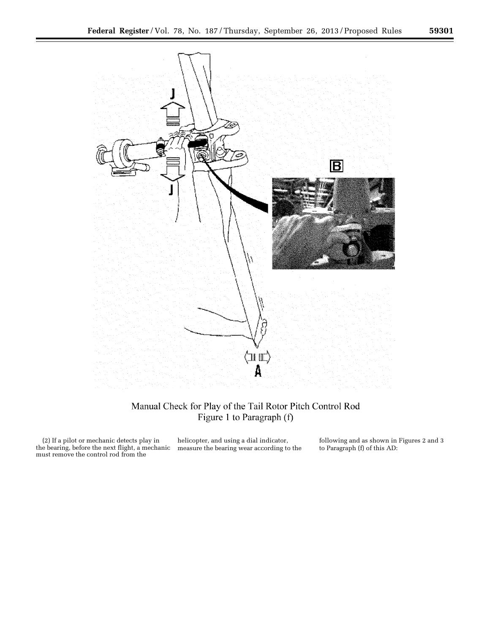

# Manual Check for Play of the Tail Rotor Pitch Control Rod Figure 1 to Paragraph (f)

(2) If a pilot or mechanic detects play in the bearing, before the next flight, a mechanic must remove the control rod from the

helicopter, and using a dial indicator, measure the bearing wear according to the following and as shown in Figures 2 and 3 to Paragraph (f) of this AD: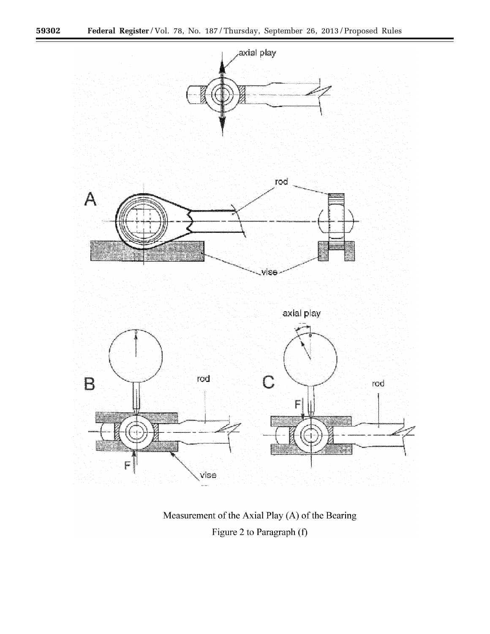۳



Measurement of the Axial Play (A) of the Bearing Figure 2 to Paragraph (f)